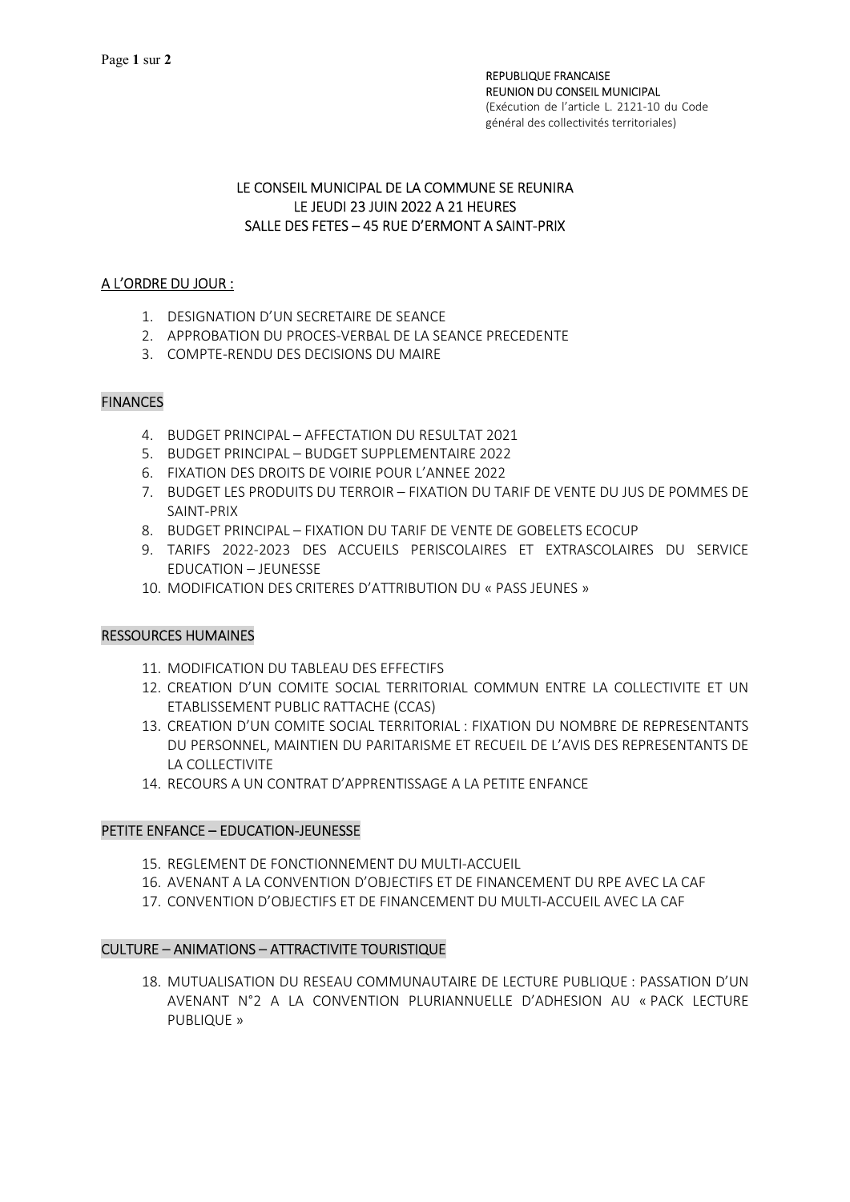### LE CONSEIL MUNICIPAL DE LA COMMUNE SE REUNIRA LE JEUDI 23 JUIN 2022 A 21 HEURES SALLE DES FETES – 45 RUE D'ERMONT A SAINT-PRIX

# A L'ORDRE DU JOUR :

- 1. DESIGNATION D'UN SECRETAIRE DE SEANCE
- 2. APPROBATION DU PROCES-VERBAL DE LA SEANCE PRECEDENTE
- 3. COMPTE-RENDU DES DECISIONS DU MAIRE

# FINANCES

- 4. BUDGET PRINCIPAL AFFECTATION DU RESULTAT 2021
- 5. BUDGET PRINCIPAL BUDGET SUPPLEMENTAIRE 2022
- 6. FIXATION DES DROITS DE VOIRIE POUR L'ANNEE 2022
- 7. BUDGET LES PRODUITS DU TERROIR FIXATION DU TARIF DE VENTE DU JUS DE POMMES DE SAINT-PRIX
- 8. BUDGET PRINCIPAL FIXATION DU TARIF DE VENTE DE GOBELETS ECOCUP
- 9. TARIFS 2022-2023 DES ACCUEILS PERISCOLAIRES ET EXTRASCOLAIRES DU SERVICE EDUCATION – JEUNESSE
- 10. MODIFICATION DES CRITERES D'ATTRIBUTION DU « PASS JEUNES »

### RESSOURCES HUMAINES

- 11. MODIFICATION DU TABLEAU DES EFFECTIFS
- 12. CREATION D'UN COMITE SOCIAL TERRITORIAL COMMUN ENTRE LA COLLECTIVITE ET UN ETABLISSEMENT PUBLIC RATTACHE (CCAS)
- 13. CREATION D'UN COMITE SOCIAL TERRITORIAL : FIXATION DU NOMBRE DE REPRESENTANTS DU PERSONNEL, MAINTIEN DU PARITARISME ET RECUEIL DE L'AVIS DES REPRESENTANTS DE LA COLLECTIVITE
- 14. RECOURS A UN CONTRAT D'APPRENTISSAGE A LA PETITE ENFANCE

### PETITE ENFANCE – EDUCATION-JEUNESSE

- 15. REGLEMENT DE FONCTIONNEMENT DU MULTI-ACCUEIL
- 16. AVENANT A LA CONVENTION D'OBJECTIFS ET DE FINANCEMENT DU RPE AVEC LA CAF
- 17. CONVENTION D'OBJECTIFS ET DE FINANCEMENT DU MULTI-ACCUEIL AVEC LA CAF

### CULTURE – ANIMATIONS – ATTRACTIVITE TOURISTIQUE

18. MUTUALISATION DU RESEAU COMMUNAUTAIRE DE LECTURE PUBLIQUE : PASSATION D'UN AVENANT N°2 A LA CONVENTION PLURIANNUELLE D'ADHESION AU « PACK LECTURE PUBLIQUE »